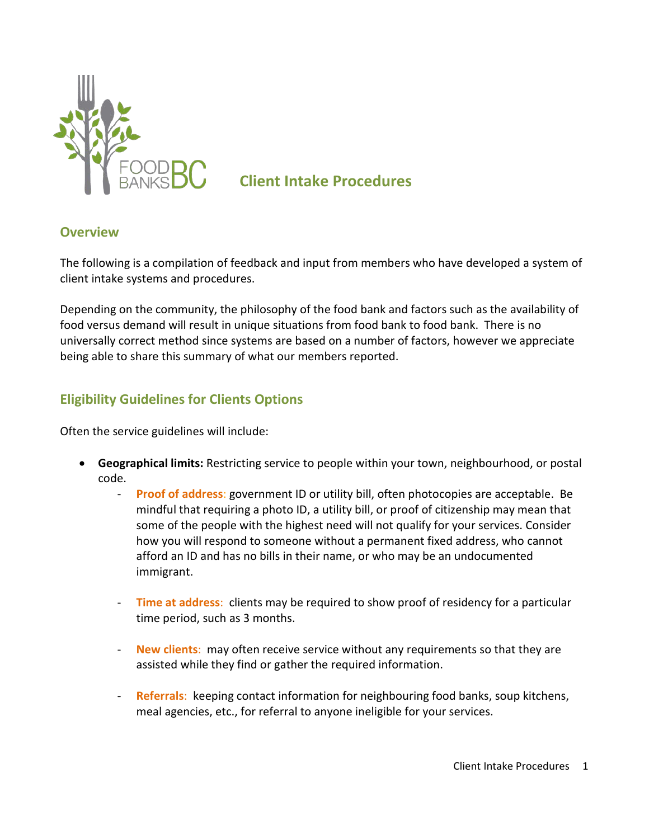

# **Client Intake Procedures**

### **Overview**

The following is a compilation of feedback and input from members who have developed a system of client intake systems and procedures.

Depending on the community, the philosophy of the food bank and factors such as the availability of food versus demand will result in unique situations from food bank to food bank. There is no universally correct method since systems are based on a number of factors, however we appreciate being able to share this summary of what our members reported.

# **Eligibility Guidelines for Clients Options**

Often the service guidelines will include:

- **Geographical limits:** Restricting service to people within your town, neighbourhood, or postal code.
	- **Proof of address**: government ID or utility bill, often photocopies are acceptable. Be mindful that requiring a photo ID, a utility bill, or proof of citizenship may mean that some of the people with the highest need will not qualify for your services. Consider how you will respond to someone without a permanent fixed address, who cannot afford an ID and has no bills in their name, or who may be an undocumented immigrant.
	- **Time at address**: clients may be required to show proof of residency for a particular time period, such as 3 months.
	- **New clients**:may often receive service without any requirements so that they are assisted while they find or gather the required information.
	- Referrals: keeping contact information for neighbouring food banks, soup kitchens, meal agencies, etc., for referral to anyone ineligible for your services.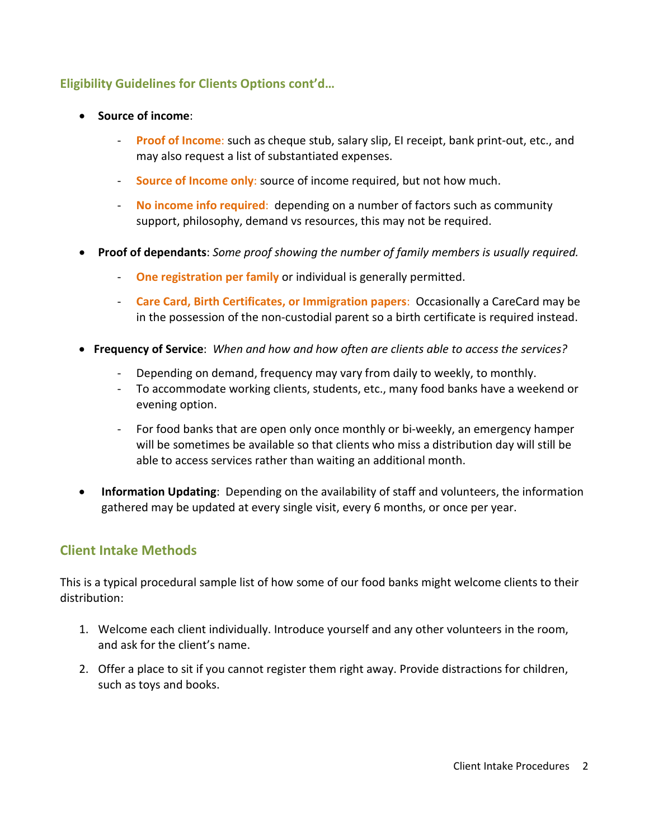## **Eligibility Guidelines for Clients Options cont'd…**

- **Source of income**:
	- **Proof of Income**: such as cheque stub, salary slip, EI receipt, bank print-out, etc., and may also request a list of substantiated expenses.
	- **Source of Income only**: source of income required, but not how much.
	- **No income info required**: depending on a number of factors such as community support, philosophy, demand vs resources, this may not be required.
- **Proof of dependants**: *Some proof showing the number of family members is usually required.*
	- **One registration per family** or individual is generally permitted.
	- **Care Card, Birth Certificates, or Immigration papers**: Occasionally a CareCard may be in the possession of the non-custodial parent so a birth certificate is required instead.
- **Frequency of Service**: *When and how and how often are clients able to access the services?*
	- Depending on demand, frequency may vary from daily to weekly, to monthly.
	- To accommodate working clients, students, etc., many food banks have a weekend or evening option.
	- For food banks that are open only once monthly or bi-weekly, an emergency hamper will be sometimes be available so that clients who miss a distribution day will still be able to access services rather than waiting an additional month.
- **Information Updating**: Depending on the availability of staff and volunteers, the information gathered may be updated at every single visit, every 6 months, or once per year.

# **Client Intake Methods**

This is a typical procedural sample list of how some of our food banks might welcome clients to their distribution:

- 1. Welcome each client individually. Introduce yourself and any other volunteers in the room, and ask for the client's name.
- 2. Offer a place to sit if you cannot register them right away. Provide distractions for children, such as toys and books.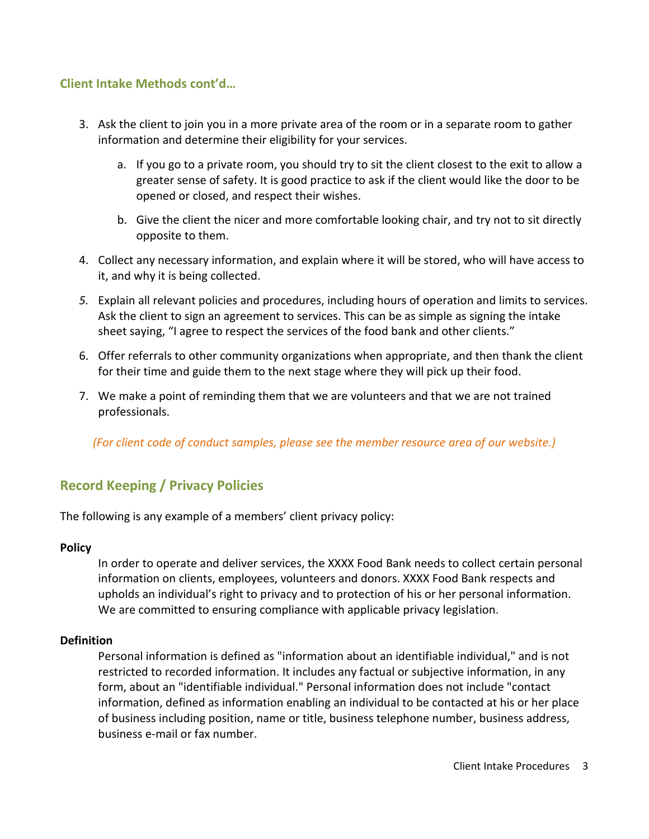### **Client Intake Methods cont'd…**

- 3. Ask the client to join you in a more private area of the room or in a separate room to gather information and determine their eligibility for your services.
	- a. If you go to a private room, you should try to sit the client closest to the exit to allow a greater sense of safety. It is good practice to ask if the client would like the door to be opened or closed, and respect their wishes.
	- b. Give the client the nicer and more comfortable looking chair, and try not to sit directly opposite to them.
- 4. Collect any necessary information, and explain where it will be stored, who will have access to it, and why it is being collected.
- *5.* Explain all relevant policies and procedures, including hours of operation and limits to services. Ask the client to sign an agreement to services. This can be as simple as signing the intake sheet saying, "I agree to respect the services of the food bank and other clients."
- 6. Offer referrals to other community organizations when appropriate, and then thank the client for their time and guide them to the next stage where they will pick up their food.
- 7. We make a point of reminding them that we are volunteers and that we are not trained professionals.

*(For client code of conduct samples, please see the member resource area of our website.)*

# **Record Keeping / Privacy Policies**

The following is any example of a members' client privacy policy:

#### **Policy**

In order to operate and deliver services, the XXXX Food Bank needs to collect certain personal information on clients, employees, volunteers and donors. XXXX Food Bank respects and upholds an individual's right to privacy and to protection of his or her personal information. We are committed to ensuring compliance with applicable privacy legislation.

#### **Definition**

Personal information is defined as "information about an identifiable individual," and is not restricted to recorded information. It includes any factual or subjective information, in any form, about an "identifiable individual." Personal information does not include "contact information, defined as information enabling an individual to be contacted at his or her place of business including position, name or title, business telephone number, business address, business e-mail or fax number.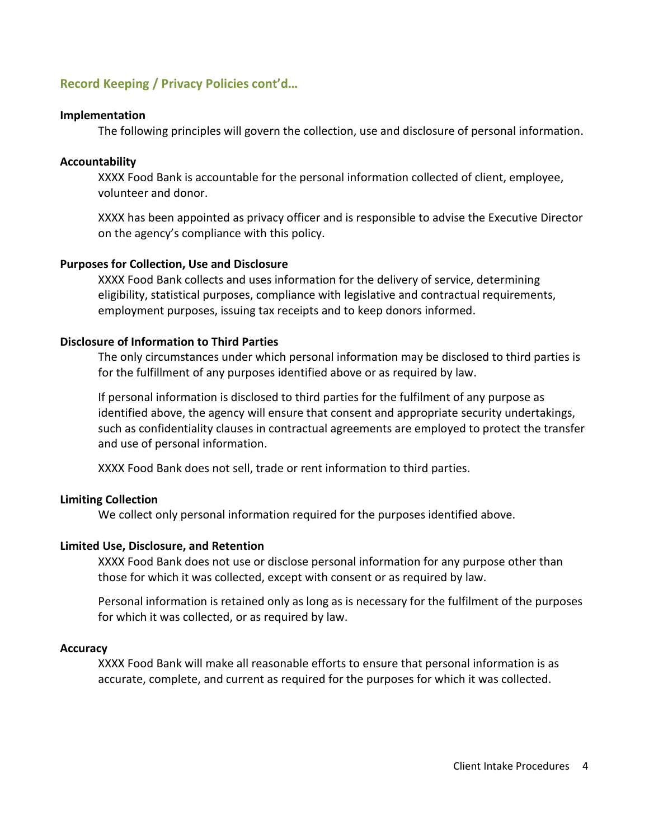### **Record Keeping / Privacy Policies cont'd…**

#### **Implementation**

The following principles will govern the collection, use and disclosure of personal information.

#### **Accountability**

XXXX Food Bank is accountable for the personal information collected of client, employee, volunteer and donor.

XXXX has been appointed as privacy officer and is responsible to advise the Executive Director on the agency's compliance with this policy.

#### **Purposes for Collection, Use and Disclosure**

XXXX Food Bank collects and uses information for the delivery of service, determining eligibility, statistical purposes, compliance with legislative and contractual requirements, employment purposes, issuing tax receipts and to keep donors informed.

#### **Disclosure of Information to Third Parties**

The only circumstances under which personal information may be disclosed to third parties is for the fulfillment of any purposes identified above or as required by law.

If personal information is disclosed to third parties for the fulfilment of any purpose as identified above, the agency will ensure that consent and appropriate security undertakings, such as confidentiality clauses in contractual agreements are employed to protect the transfer and use of personal information.

XXXX Food Bank does not sell, trade or rent information to third parties.

#### **Limiting Collection**

We collect only personal information required for the purposes identified above.

#### **Limited Use, Disclosure, and Retention**

XXXX Food Bank does not use or disclose personal information for any purpose other than those for which it was collected, except with consent or as required by law.

Personal information is retained only as long as is necessary for the fulfilment of the purposes for which it was collected, or as required by law.

#### **Accuracy**

XXXX Food Bank will make all reasonable efforts to ensure that personal information is as accurate, complete, and current as required for the purposes for which it was collected.